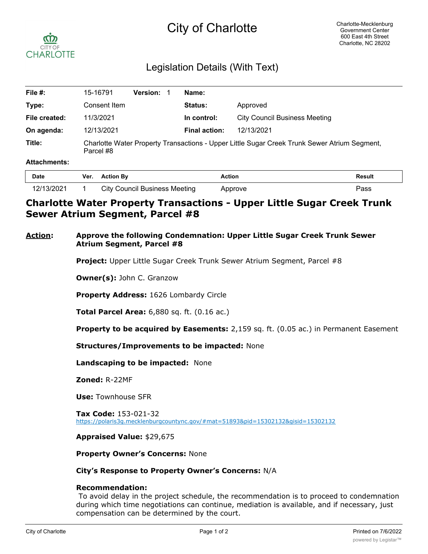# City of Charlotte



# Legislation Details (With Text)

| File #:       | 15-16791                                                                                                  | <b>Version:</b> | Name:                |                                      |
|---------------|-----------------------------------------------------------------------------------------------------------|-----------------|----------------------|--------------------------------------|
| Type:         | Consent Item                                                                                              |                 | <b>Status:</b>       | Approved                             |
| File created: | 11/3/2021                                                                                                 |                 | In control:          | <b>City Council Business Meeting</b> |
| On agenda:    | 12/13/2021                                                                                                |                 | <b>Final action:</b> | 12/13/2021                           |
| Title:        | Charlotte Water Property Transactions - Upper Little Sugar Creek Trunk Sewer Atrium Segment,<br>Parcel #8 |                 |                      |                                      |

#### **Attachments:**

| Date                    | Ver. | <b>Action By</b>              | <b>Action</b> | <b>Result</b> |
|-------------------------|------|-------------------------------|---------------|---------------|
| 2/13/2021<br>$\epsilon$ |      | City Council Business Meeting | Approve       | פs⊳           |

# **Charlotte Water Property Transactions - Upper Little Sugar Creek Trunk Sewer Atrium Segment, Parcel #8**

### **Action: Approve the following Condemnation: Upper Little Sugar Creek Trunk Sewer Atrium Segment, Parcel #8**

**Project:** Upper Little Sugar Creek Trunk Sewer Atrium Segment, Parcel #8

**Owner(s):** John C. Granzow

**Property Address:** 1626 Lombardy Circle

**Total Parcel Area:** 6,880 sq. ft. (0.16 ac.)

**Property to be acquired by Easements:** 2,159 sq. ft. (0.05 ac.) in Permanent Easement

**Structures/Improvements to be impacted:** None

**Landscaping to be impacted:** None

**Zoned:** R-22MF

**Use:** Townhouse SFR

**Tax Code:** 153-021-32 https://polaris3g.mecklenburgcountync.gov/#mat=51893&pid=15302132&gisid=15302132

**Appraised Value:** \$29,675

**Property Owner's Concerns:** None

#### **City's Response to Property Owner's Concerns:** N/A

### **Recommendation:**

 To avoid delay in the project schedule, the recommendation is to proceed to condemnation during which time negotiations can continue, mediation is available, and if necessary, just compensation can be determined by the court.